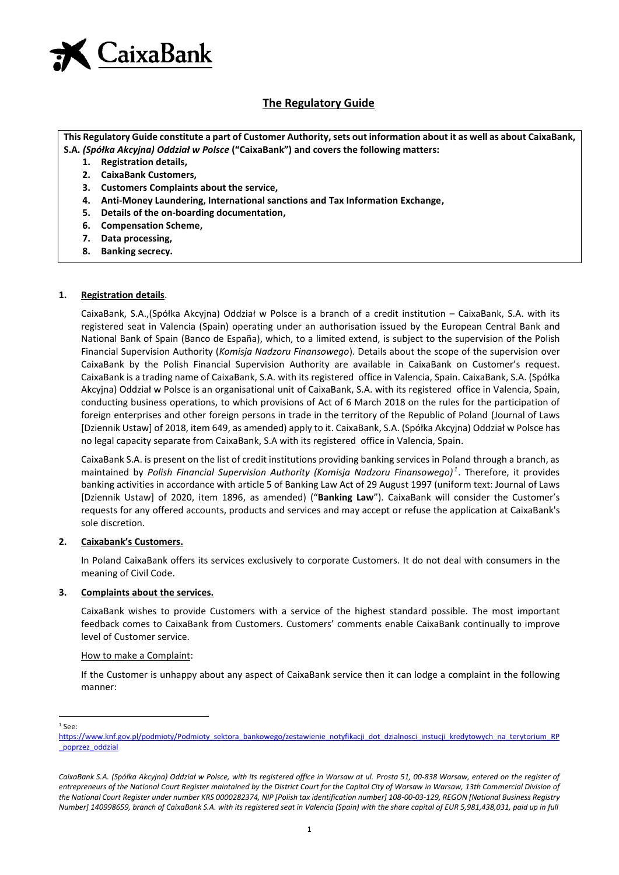

### **The Regulatory Guide**

**This Regulatory Guide constitute a part of Customer Authority, sets out information about it as well as about CaixaBank, S.A.** *(Spółka Akcyjna) Oddział w Polsce* **("CaixaBank") and covers the following matters:**

- **1. Registration details,**
- **2. CaixaBank Customers,**
- **3. Customers Complaints about the service,**
- **4. Anti-Money Laundering, International sanctions and Tax Information Exchange,**
- **5. Details of the on-boarding documentation,**
- **6. Compensation Scheme,**
- **7. Data processing,**
- **8. Banking secrecy.**

#### **1. Registration details**.

CaixaBank, S.A.,(Spółka Akcyjna) Oddział w Polsce is a branch of a credit institution – CaixaBank, S.A. with its registered seat in Valencia (Spain) operating under an authorisation issued by the European Central Bank and National Bank of Spain (Banco de España), which, to a limited extend, is subject to the supervision of the Polish Financial Supervision Authority (*Komisja Nadzoru Finansowego*). Details about the scope of the supervision over CaixaBank by the Polish Financial Supervision Authority are available in CaixaBank on Customer's request. CaixaBank is a trading name of CaixaBank, S.A. with its registered office in Valencia, Spain. CaixaBank, S.A. (Spółka Akcyjna) Oddział w Polsce is an organisational unit of CaixaBank, S.A. with its registered office in Valencia, Spain, conducting business operations, to which provisions of Act of 6 March 2018 on the rules for the participation of foreign enterprises and other foreign persons in trade in the territory of the Republic of Poland (Journal of Laws [Dziennik Ustaw] of 2018, item 649, as amended) apply to it. CaixaBank, S.A. (Spółka Akcyjna) Oddział w Polsce has no legal capacity separate from CaixaBank, S.A with its registered office in Valencia, Spain.

CaixaBank S.A. is present on the list of credit institutions providing banking services in Poland through a branch, as maintained by *Polish Financial Supervision Authority (Komisja Nadzoru Finansowego) <sup>1</sup>* . Therefore, it provides banking activities in accordance with article 5 of Banking Law Act of 29 August 1997 (uniform text: Journal of Laws [Dziennik Ustaw] of 2020, item 1896, as amended) ("**Banking Law**"). CaixaBank will consider the Customer's requests for any offered accounts, products and services and may accept or refuse the application at CaixaBank's sole discretion.

#### **2. Caixabank's Customers.**

In Poland CaixaBank offers its services exclusively to corporate Customers. It do not deal with consumers in the meaning of Civil Code.

#### **3. Complaints about the services.**

CaixaBank wishes to provide Customers with a service of the highest standard possible. The most important feedback comes to CaixaBank from Customers. Customers' comments enable CaixaBank continually to improve level of Customer service.

#### How to make a Complaint:

If the Customer is unhappy about any aspect of CaixaBank service then it can lodge a complaint in the following manner:

 $1$  See:

[https://www.knf.gov.pl/podmioty/Podmioty\\_sektora\\_bankowego/zestawienie\\_notyfikacji\\_dot\\_dzialnosci\\_instucji\\_kredytowych\\_na\\_terytorium\\_RP](https://www.knf.gov.pl/podmioty/Podmioty_sektora_bankowego/zestawienie_notyfikacji_dot_dzialnosci_instucji_kredytowych_na_terytorium_RP_poprzez_oddzial) [\\_poprzez\\_oddzial](https://www.knf.gov.pl/podmioty/Podmioty_sektora_bankowego/zestawienie_notyfikacji_dot_dzialnosci_instucji_kredytowych_na_terytorium_RP_poprzez_oddzial)

CaixaBank S.A. (Spółka Akcyjna) Oddział w Polsce, with its registered office in Warsaw at ul. Prosta 51, 00-838 Warsaw, entered on the register of *entrepreneurs of the National Court Register maintained by the District Court for the Capital City of Warsaw in Warsaw, 13th Commercial Division of the National Court Register under number KRS 0000282374, NIP [Polish tax identification number] 108-00-03-129, REGON [National Business Registry Number] 140998659, branch of CaixaBank S.A. with its registered seat in Valencia (Spain) with the share capital of EUR 5,981,438,031, paid up in full*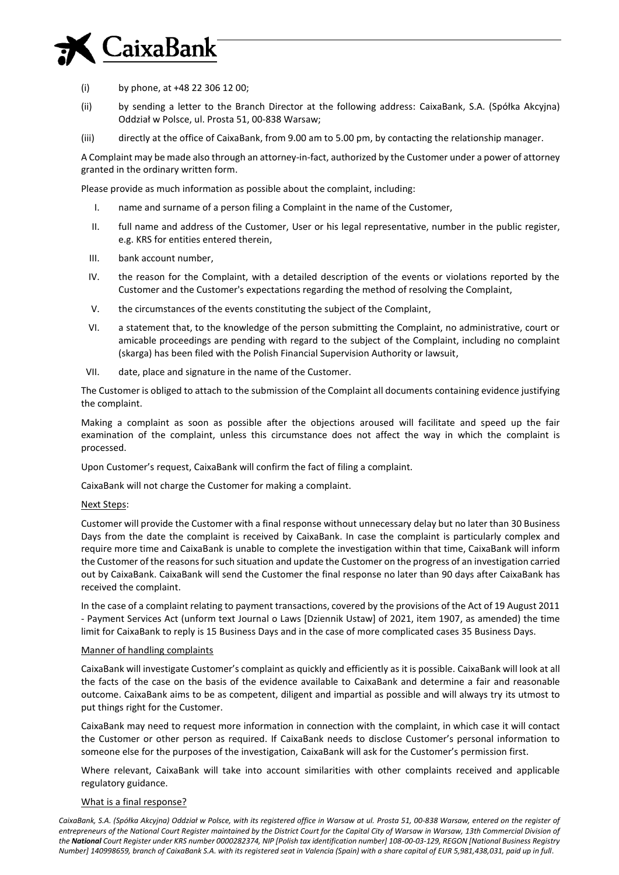## CaixaBank

- (i) by phone, at +48 22 306 12 00;
- (ii) by sending a letter to the Branch Director at the following address: CaixaBank, S.A. (Spółka Akcyjna) Oddział w Polsce, ul. Prosta 51, 00-838 Warsaw;
- (iii) directly at the office of CaixaBank, from 9.00 am to 5.00 pm, by contacting the relationship manager.

A Complaint may be made also through an attorney-in-fact, authorized by the Customer under a power of attorney granted in the ordinary written form.

Please provide as much information as possible about the complaint, including:

- I. name and surname of a person filing a Complaint in the name of the Customer,
- II. full name and address of the Customer, User or his legal representative, number in the public register, e.g. KRS for entities entered therein,
- III. bank account number,
- IV. the reason for the Complaint, with a detailed description of the events or violations reported by the Customer and the Customer's expectations regarding the method of resolving the Complaint,
- V. the circumstances of the events constituting the subject of the Complaint,
- VI. a statement that, to the knowledge of the person submitting the Complaint, no administrative, court or amicable proceedings are pending with regard to the subject of the Complaint, including no complaint (skarga) has been filed with the Polish Financial Supervision Authority or lawsuit,
- VII. date, place and signature in the name of the Customer.

The Customer is obliged to attach to the submission of the Complaint all documents containing evidence justifying the complaint.

Making a complaint as soon as possible after the objections aroused will facilitate and speed up the fair examination of the complaint, unless this circumstance does not affect the way in which the complaint is processed.

Upon Customer's request, CaixaBank will confirm the fact of filing a complaint.

CaixaBank will not charge the Customer for making a complaint.

#### Next Steps:

Customer will provide the Customer with a final response without unnecessary delay but no later than 30 Business Days from the date the complaint is received by CaixaBank. In case the complaint is particularly complex and require more time and CaixaBank is unable to complete the investigation within that time, CaixaBank will inform the Customer of the reasons for such situation and update the Customer on the progress of an investigation carried out by CaixaBank. CaixaBank will send the Customer the final response no later than 90 days after CaixaBank has received the complaint.

In the case of a complaint relating to payment transactions, covered by the provisions of the Act of 19 August 2011 - Payment Services Act (unform text Journal o Laws [Dziennik Ustaw] of 2021, item 1907, as amended) the time limit for CaixaBank to reply is 15 Business Days and in the case of more complicated cases 35 Business Days.

#### Manner of handling complaints

CaixaBank will investigate Customer's complaint as quickly and efficiently as it is possible. CaixaBank will look at all the facts of the case on the basis of the evidence available to CaixaBank and determine a fair and reasonable outcome. CaixaBank aims to be as competent, diligent and impartial as possible and will always try its utmost to put things right for the Customer.

CaixaBank may need to request more information in connection with the complaint, in which case it will contact the Customer or other person as required. If CaixaBank needs to disclose Customer's personal information to someone else for the purposes of the investigation, CaixaBank will ask for the Customer's permission first.

Where relevant, CaixaBank will take into account similarities with other complaints received and applicable regulatory guidance.

#### What is a final response?

CaixaBank, S.A. (Spółka Akcyjna) Oddział w Polsce, with its registered office in Warsaw at ul. Prosta 51, 00-838 Warsaw, entered on the register of *entrepreneurs of the National Court Register maintained by the District Court for the Capital City of Warsaw in Warsaw, 13th Commercial Division of the National Court Register under KRS number 0000282374, NIP [Polish tax identification number] 108-00-03-129, REGON [National Business Registry Number] 140998659, branch of CaixaBank S.A. with its registered seat in Valencia (Spain) with a share capital of EUR 5,981,438,031, paid up in full*.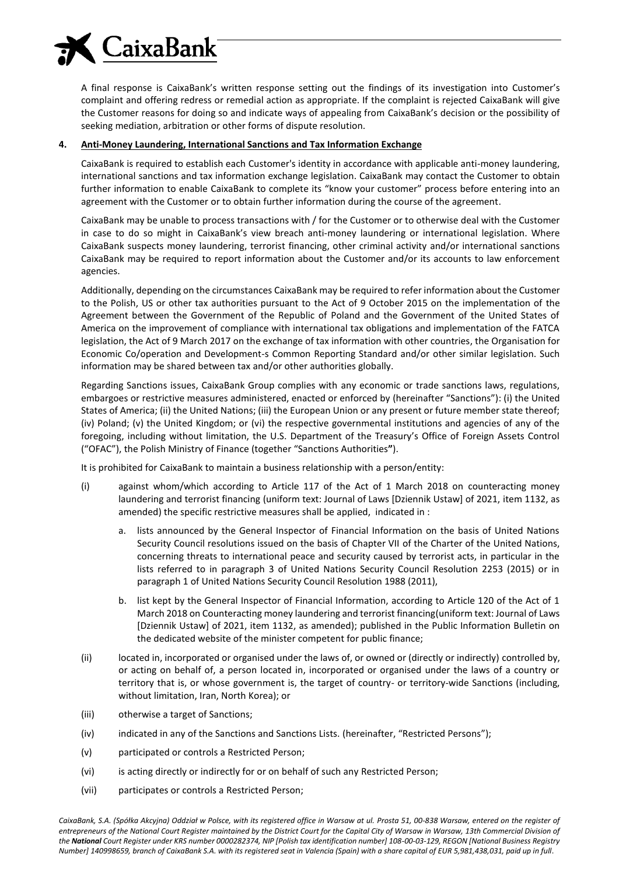

A final response is CaixaBank's written response setting out the findings of its investigation into Customer's complaint and offering redress or remedial action as appropriate. If the complaint is rejected CaixaBank will give the Customer reasons for doing so and indicate ways of appealing from CaixaBank's decision or the possibility of seeking mediation, arbitration or other forms of dispute resolution.

#### **4. Anti-Money Laundering, International Sanctions and Tax Information Exchange**

CaixaBank is required to establish each Customer's identity in accordance with applicable anti-money laundering, international sanctions and tax information exchange legislation. CaixaBank may contact the Customer to obtain further information to enable CaixaBank to complete its "know your customer" process before entering into an agreement with the Customer or to obtain further information during the course of the agreement.

CaixaBank may be unable to process transactions with / for the Customer or to otherwise deal with the Customer in case to do so might in CaixaBank's view breach anti-money laundering or international legislation. Where CaixaBank suspects money laundering, terrorist financing, other criminal activity and/or international sanctions CaixaBank may be required to report information about the Customer and/or its accounts to law enforcement agencies.

Additionally, depending on the circumstances CaixaBank may be required to refer information about the Customer to the Polish, US or other tax authorities pursuant to the Act of 9 October 2015 on the implementation of the Agreement between the Government of the Republic of Poland and the Government of the United States of America on the improvement of compliance with international tax obligations and implementation of the FATCA legislation, the Act of 9 March 2017 on the exchange of tax information with other countries, the Organisation for Economic Co/operation and Development-s Common Reporting Standard and/or other similar legislation. Such information may be shared between tax and/or other authorities globally.

Regarding Sanctions issues, CaixaBank Group complies with any economic or trade sanctions laws, regulations, embargoes or restrictive measures administered, enacted or enforced by (hereinafter "Sanctions"): (i) the United States of America; (ii) the United Nations; (iii) the European Union or any present or future member state thereof; (iv) Poland; (v) the United Kingdom; or (vi) the respective governmental institutions and agencies of any of the foregoing, including without limitation, the U.S. Department of the Treasury's Office of Foreign Assets Control ("OFAC"), the Polish Ministry of Finance (together "Sanctions Authorities**"**).

It is prohibited for CaixaBank to maintain a business relationship with a person/entity:

- (i) against whom/which according to Article 117 of the Act of 1 March 2018 on counteracting money laundering and terrorist financing (uniform text: Journal of Laws [Dziennik Ustaw] of 2021, item 1132, as amended) the specific restrictive measures shall be applied, indicated in :
	- a. lists announced by the General Inspector of Financial Information on the basis of United Nations Security Council resolutions issued on the basis of Chapter VII of the Charter of the United Nations, concerning threats to international peace and security caused by terrorist acts, in particular in the lists referred to in paragraph 3 of United Nations Security Council Resolution 2253 (2015) or in paragraph 1 of United Nations Security Council Resolution 1988 (2011),
	- b. list kept by the General Inspector of Financial Information, according to Article 120 of the Act of 1 March 2018 on Counteracting money laundering and terrorist financing(uniform text: Journal of Laws [Dziennik Ustaw] of 2021, item 1132, as amended); published in the Public Information Bulletin on the dedicated website of the minister competent for public finance;
- (ii) located in, incorporated or organised under the laws of, or owned or (directly or indirectly) controlled by, or acting on behalf of, a person located in, incorporated or organised under the laws of a country or territory that is, or whose government is, the target of country- or territory-wide Sanctions (including, without limitation, Iran, North Korea); or
- (iii) otherwise a target of Sanctions;
- (iv) indicated in any of the Sanctions and Sanctions Lists. (hereinafter, "Restricted Persons");
- (v) participated or controls a Restricted Person;
- (vi) is acting directly or indirectly for or on behalf of such any Restricted Person;
- (vii) participates or controls a Restricted Person;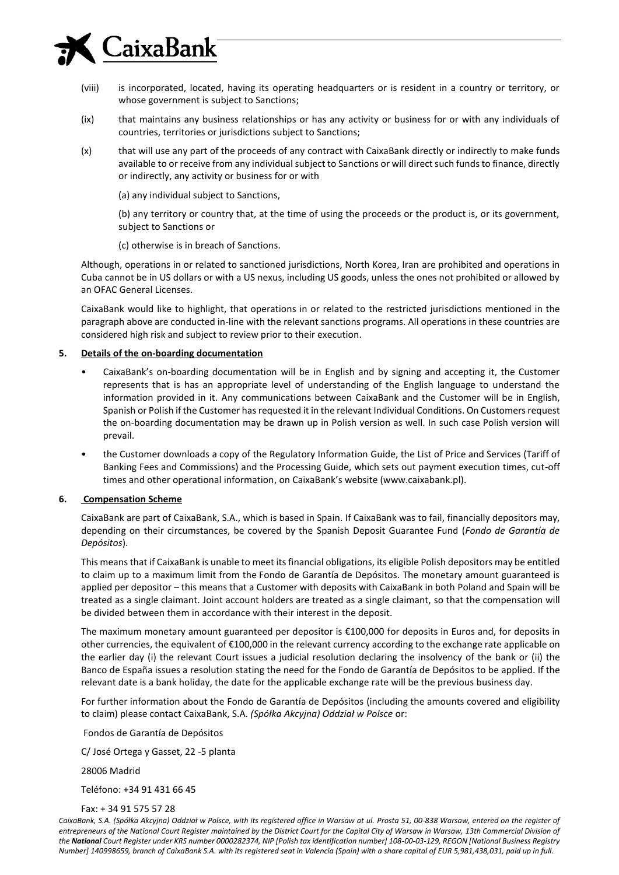## CaixaBank

- (viii) is incorporated, located, having its operating headquarters or is resident in a country or territory, or whose government is subject to Sanctions;
- (ix) that maintains any business relationships or has any activity or business for or with any individuals of countries, territories or jurisdictions subject to Sanctions;
- (x) that will use any part of the proceeds of any contract with CaixaBank directly or indirectly to make funds available to or receive from any individual subject to Sanctions or will direct such funds to finance, directly or indirectly, any activity or business for or with
	- (a) any individual subject to Sanctions,

(b) any territory or country that, at the time of using the proceeds or the product is, or its government, subject to Sanctions or

(c) otherwise is in breach of Sanctions.

Although, operations in or related to sanctioned jurisdictions, North Korea, Iran are prohibited and operations in Cuba cannot be in US dollars or with a US nexus, including US goods, unless the ones not prohibited or allowed by an OFAC General Licenses.

CaixaBank would like to highlight, that operations in or related to the restricted jurisdictions mentioned in the paragraph above are conducted in-line with the relevant sanctions programs. All operations in these countries are considered high risk and subject to review prior to their execution.

#### **5. Details of the on-boarding documentation**

- CaixaBank's on-boarding documentation will be in English and by signing and accepting it, the Customer represents that is has an appropriate level of understanding of the English language to understand the information provided in it. Any communications between CaixaBank and the Customer will be in English, Spanish or Polish if the Customer has requested it in the relevant Individual Conditions. On Customers request the on-boarding documentation may be drawn up in Polish version as well. In such case Polish version will prevail.
- the Customer downloads a copy of the Regulatory Information Guide, the List of Price and Services (Tariff of Banking Fees and Commissions) and the Processing Guide, which sets out payment execution times, cut-off times and other operational information, on CaixaBank's website (www.caixabank.pl).

#### **6. Compensation Scheme**

CaixaBank are part of CaixaBank, S.A., which is based in Spain. If CaixaBank was to fail, financially depositors may, depending on their circumstances, be covered by the Spanish Deposit Guarantee Fund (*Fondo de Garantía de Depósitos*).

This means that if CaixaBank is unable to meet its financial obligations, its eligible Polish depositors may be entitled to claim up to a maximum limit from the Fondo de Garantía de Depósitos. The monetary amount guaranteed is applied per depositor – this means that a Customer with deposits with CaixaBank in both Poland and Spain will be treated as a single claimant. Joint account holders are treated as a single claimant, so that the compensation will be divided between them in accordance with their interest in the deposit.

The maximum monetary amount guaranteed per depositor is  $\epsilon$ 100,000 for deposits in Euros and, for deposits in other currencies, the equivalent of €100,000 in the relevant currency according to the exchange rate applicable on the earlier day (i) the relevant Court issues a judicial resolution declaring the insolvency of the bank or (ii) the Banco de España issues a resolution stating the need for the Fondo de Garantía de Depósitos to be applied. If the relevant date is a bank holiday, the date for the applicable exchange rate will be the previous business day.

For further information about the Fondo de Garantía de Depósitos (including the amounts covered and eligibility to claim) please contact CaixaBank, S.A. *(Spółka Akcyjna) Oddział w Polsce* or:

Fondos de Garantía de Depósitos

C/ José Ortega y Gasset, 22 -5 planta

28006 Madrid

Teléfono: +34 91 431 66 45

Fax: + 34 91 575 57 28

CaixaBank, S.A. (Spółka Akcyjna) Oddział w Polsce, with its registered office in Warsaw at ul. Prosta 51, 00-838 Warsaw, entered on the register of *entrepreneurs of the National Court Register maintained by the District Court for the Capital City of Warsaw in Warsaw, 13th Commercial Division of the National Court Register under KRS number 0000282374, NIP [Polish tax identification number] 108-00-03-129, REGON [National Business Registry Number] 140998659, branch of CaixaBank S.A. with its registered seat in Valencia (Spain) with a share capital of EUR 5,981,438,031, paid up in full*.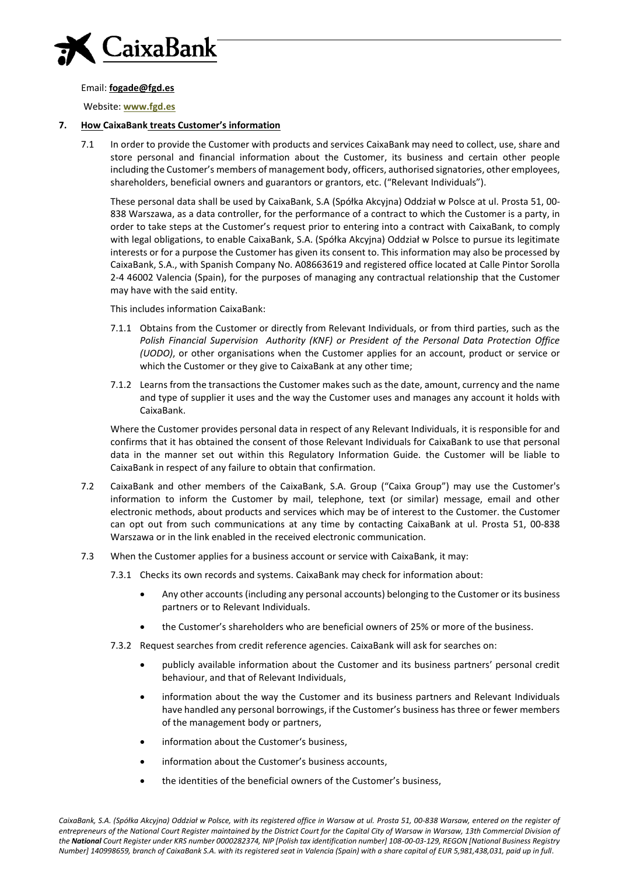

Email: **[fogade@fgd.es](mailto:fogade@fgd.es)**

Website: **[www.fgd.es](http://www.fgd.es/)**

#### **7. How CaixaBank treats Customer's information**

7.1 In order to provide the Customer with products and services CaixaBank may need to collect, use, share and store personal and financial information about the Customer, its business and certain other people including the Customer's members of management body, officers, authorised signatories, other employees, shareholders, beneficial owners and guarantors or grantors, etc. ("Relevant Individuals").

These personal data shall be used by CaixaBank, S.A (Spółka Akcyjna) Oddział w Polsce at ul. Prosta 51, 00- 838 Warszawa, as a data controller, for the performance of a contract to which the Customer is a party, in order to take steps at the Customer's request prior to entering into a contract with CaixaBank, to comply with legal obligations, to enable CaixaBank, S.A. (Spółka Akcyjna) Oddział w Polsce to pursue its legitimate interests or for a purpose the Customer has given its consent to. This information may also be processed by CaixaBank, S.A., with Spanish Company No. A08663619 and registered office located at Calle Pintor Sorolla 2-4 46002 Valencia (Spain), for the purposes of managing any contractual relationship that the Customer may have with the said entity.

This includes information CaixaBank:

- 7.1.1 Obtains from the Customer or directly from Relevant Individuals, or from third parties, such as the *Polish Financial Supervision Authority (KNF) or President of the Personal Data Protection Office (UODO)*, or other organisations when the Customer applies for an account, product or service or which the Customer or they give to CaixaBank at any other time;
- 7.1.2 Learns from the transactions the Customer makes such as the date, amount, currency and the name and type of supplier it uses and the way the Customer uses and manages any account it holds with CaixaBank.

Where the Customer provides personal data in respect of any Relevant Individuals, it is responsible for and confirms that it has obtained the consent of those Relevant Individuals for CaixaBank to use that personal data in the manner set out within this Regulatory Information Guide. the Customer will be liable to CaixaBank in respect of any failure to obtain that confirmation.

- 7.2 CaixaBank and other members of the CaixaBank, S.A. Group ("Caixa Group") may use the Customer's information to inform the Customer by mail, telephone, text (or similar) message, email and other electronic methods, about products and services which may be of interest to the Customer. the Customer can opt out from such communications at any time by contacting CaixaBank at ul. Prosta 51, 00-838 Warszawa or in the link enabled in the received electronic communication.
- 7.3 When the Customer applies for a business account or service with CaixaBank, it may:
	- 7.3.1 Checks its own records and systems. CaixaBank may check for information about:
		- Any other accounts (including any personal accounts) belonging to the Customer or its business partners or to Relevant Individuals.
		- the Customer's shareholders who are beneficial owners of 25% or more of the business.
	- 7.3.2 Request searches from credit reference agencies. CaixaBank will ask for searches on:
		- publicly available information about the Customer and its business partners' personal credit behaviour, and that of Relevant Individuals,
		- information about the way the Customer and its business partners and Relevant Individuals have handled any personal borrowings, if the Customer's business has three or fewer members of the management body or partners,
		- information about the Customer's business,
		- information about the Customer's business accounts,
		- the identities of the beneficial owners of the Customer's business,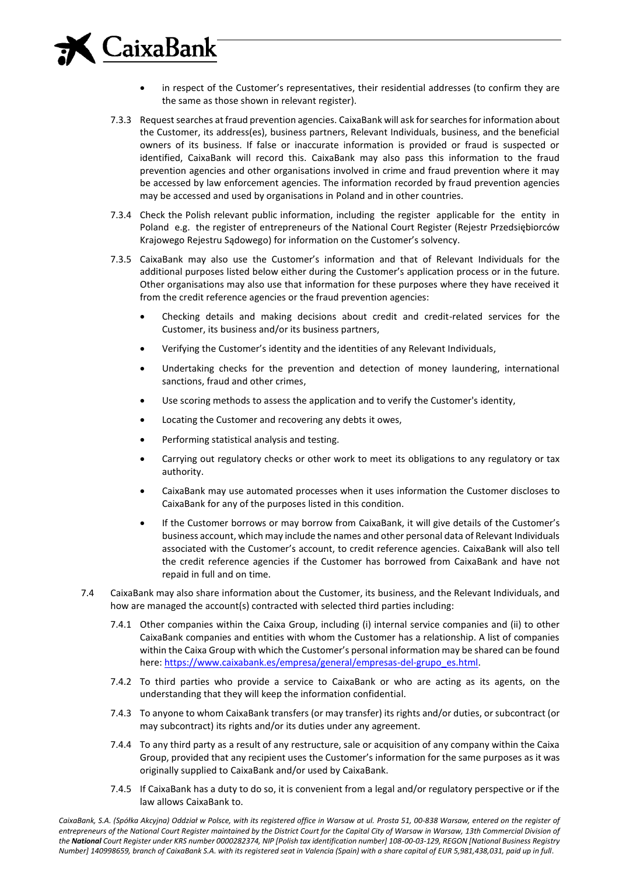# **CaixaBank**

- in respect of the Customer's representatives, their residential addresses (to confirm they are the same as those shown in relevant register).
- 7.3.3 Request searches at fraud prevention agencies. CaixaBank will ask for searches for information about the Customer, its address(es), business partners, Relevant Individuals, business, and the beneficial owners of its business. If false or inaccurate information is provided or fraud is suspected or identified, CaixaBank will record this. CaixaBank may also pass this information to the fraud prevention agencies and other organisations involved in crime and fraud prevention where it may be accessed by law enforcement agencies. The information recorded by fraud prevention agencies may be accessed and used by organisations in Poland and in other countries.
- 7.3.4 Check the Polish relevant public information, including the register applicable for the entity in Poland e.g. the register of entrepreneurs of the National Court Register (Rejestr Przedsiebiorców Krajowego Rejestru Sądowego) for information on the Customer's solvency.
- 7.3.5 CaixaBank may also use the Customer's information and that of Relevant Individuals for the additional purposes listed below either during the Customer's application process or in the future. Other organisations may also use that information for these purposes where they have received it from the credit reference agencies or the fraud prevention agencies:
	- Checking details and making decisions about credit and credit-related services for the Customer, its business and/or its business partners,
	- Verifying the Customer's identity and the identities of any Relevant Individuals,
	- Undertaking checks for the prevention and detection of money laundering, international sanctions, fraud and other crimes,
	- Use scoring methods to assess the application and to verify the Customer's identity,
	- Locating the Customer and recovering any debts it owes,
	- Performing statistical analysis and testing.
	- Carrying out regulatory checks or other work to meet its obligations to any regulatory or tax authority.
	- CaixaBank may use automated processes when it uses information the Customer discloses to CaixaBank for any of the purposes listed in this condition.
	- If the Customer borrows or may borrow from CaixaBank, it will give details of the Customer's business account, which may include the names and other personal data of Relevant Individuals associated with the Customer's account, to credit reference agencies. CaixaBank will also tell the credit reference agencies if the Customer has borrowed from CaixaBank and have not repaid in full and on time.
- 7.4 CaixaBank may also share information about the Customer, its business, and the Relevant Individuals, and how are managed the account(s) contracted with selected third parties including:
	- 7.4.1 Other companies within the Caixa Group, including (i) internal service companies and (ii) to other CaixaBank companies and entities with whom the Customer has a relationship. A list of companies within the Caixa Group with which the Customer's personal information may be shared can be found here: [https://www.caixabank.es/empresa/general/empresas-del-grupo\\_es.html.](https://www.caixabank.es/empresa/general/empresas-del-grupo_es.html)
	- 7.4.2 To third parties who provide a service to CaixaBank or who are acting as its agents, on the understanding that they will keep the information confidential.
	- 7.4.3 To anyone to whom CaixaBank transfers (or may transfer) its rights and/or duties, or subcontract (or may subcontract) its rights and/or its duties under any agreement.
	- 7.4.4 To any third party as a result of any restructure, sale or acquisition of any company within the Caixa Group, provided that any recipient uses the Customer's information for the same purposes as it was originally supplied to CaixaBank and/or used by CaixaBank.
	- 7.4.5 If CaixaBank has a duty to do so, it is convenient from a legal and/or regulatory perspective or if the law allows CaixaBank to.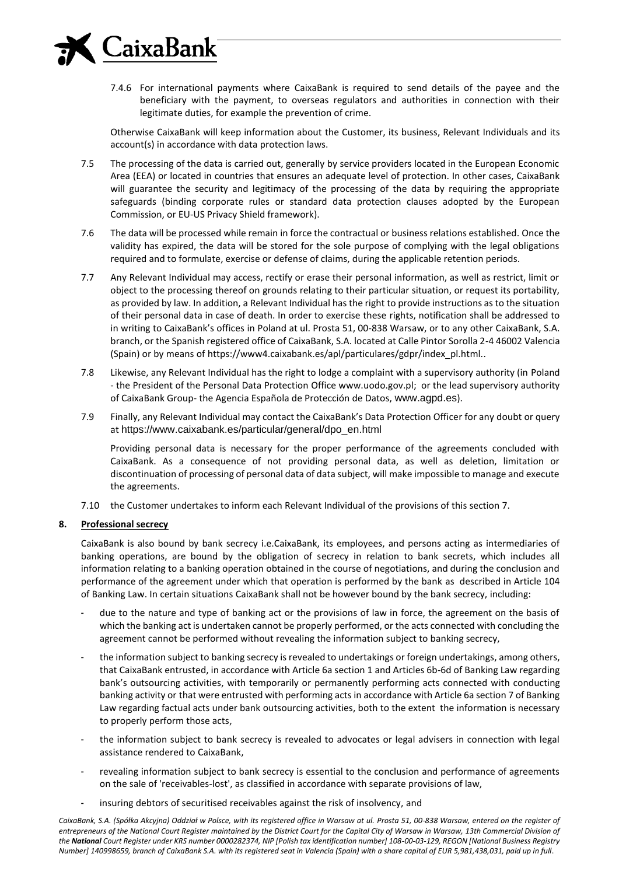

7.4.6 For international payments where CaixaBank is required to send details of the payee and the beneficiary with the payment, to overseas regulators and authorities in connection with their legitimate duties, for example the prevention of crime.

Otherwise CaixaBank will keep information about the Customer, its business, Relevant Individuals and its account(s) in accordance with data protection laws.

- 7.5 The processing of the data is carried out, generally by service providers located in the European Economic Area (EEA) or located in countries that ensures an adequate level of protection. In other cases, CaixaBank will guarantee the security and legitimacy of the processing of the data by requiring the appropriate safeguards (binding corporate rules or standard data protection clauses adopted by the European Commission, or EU-US Privacy Shield framework).
- 7.6 The data will be processed while remain in force the contractual or business relations established. Once the validity has expired, the data will be stored for the sole purpose of complying with the legal obligations required and to formulate, exercise or defense of claims, during the applicable retention periods.
- 7.7 Any Relevant Individual may access, rectify or erase their personal information, as well as restrict, limit or object to the processing thereof on grounds relating to their particular situation, or request its portability, as provided by law. In addition, a Relevant Individual has the right to provide instructions as to the situation of their personal data in case of death. In order to exercise these rights, notification shall be addressed to in writing to CaixaBank's offices in Poland at ul. Prosta 51, 00-838 Warsaw, or to any other CaixaBank, S.A. branch, or the Spanish registered office of CaixaBank, S.A. located at Calle Pintor Sorolla 2-4 46002 Valencia (Spain) or by means of https://www4.caixabank.es/apl/particulares/gdpr/index\_pl.html..
- 7.8 Likewise, any Relevant Individual has the right to lodge a complaint with a supervisory authority (in Poland - the President of the Personal Data Protection Office www.uodo.gov.pl; or the lead supervisory authority of CaixaBank Group- the Agencia Española de Protección de Datos, [www.agpd.es](http://www.agpd.es/)).
- 7.9 Finally, any Relevant Individual may contact the CaixaBank's Data Protection Officer for any doubt or query at [https://www.caixabank.es/particular/general/dpo\\_en.html](https://www.caixabank.es/particular/general/dpo_en.html)

Providing personal data is necessary for the proper performance of the agreements concluded with CaixaBank. As a consequence of not providing personal data, as well as deletion, limitation or discontinuation of processing of personal data of data subject, will make impossible to manage and execute the agreements.

7.10 the Customer undertakes to inform each Relevant Individual of the provisions of this section 7.

#### **8. Professional secrecy**

CaixaBank is also bound by bank secrecy i.e.CaixaBank, its employees, and persons acting as intermediaries of banking operations, are bound by the obligation of secrecy in relation to bank secrets, which includes all information relating to a banking operation obtained in the course of negotiations, and during the conclusion and performance of the agreement under which that operation is performed by the bank as described in Article 104 of Banking Law. In certain situations CaixaBank shall not be however bound by the bank secrecy, including:

- due to the nature and type of banking act or the provisions of law in force, the agreement on the basis of which the banking act is undertaken cannot be properly performed, or the acts connected with concluding the agreement cannot be performed without revealing the information subject to banking secrecy,
- the information subject to banking secrecy is revealed to undertakings or foreign undertakings, among others, that CaixaBank entrusted, in accordance with Article 6a section 1 and Articles 6b-6d of Banking Law regarding bank's outsourcing activities, with temporarily or permanently performing acts connected with conducting banking activity or that were entrusted with performing acts in accordance with Article 6a section 7 of Banking Law regarding factual acts under bank outsourcing activities, both to the extent the information is necessary to properly perform those acts,
- the information subject to bank secrecy is revealed to advocates or legal advisers in connection with legal assistance rendered to CaixaBank,
- revealing information subject to bank secrecy is essential to the conclusion and performance of agreements on the sale of 'receivables-lost', as classified in accordance with separate provisions of law,
- insuring debtors of securitised receivables against the risk of insolvency, and

CaixaBank, S.A. (Spółka Akcyjna) Oddział w Polsce, with its registered office in Warsaw at ul. Prosta 51, 00-838 Warsaw, entered on the register of *entrepreneurs of the National Court Register maintained by the District Court for the Capital City of Warsaw in Warsaw, 13th Commercial Division of the National Court Register under KRS number 0000282374, NIP [Polish tax identification number] 108-00-03-129, REGON [National Business Registry Number] 140998659, branch of CaixaBank S.A. with its registered seat in Valencia (Spain) with a share capital of EUR 5,981,438,031, paid up in full*.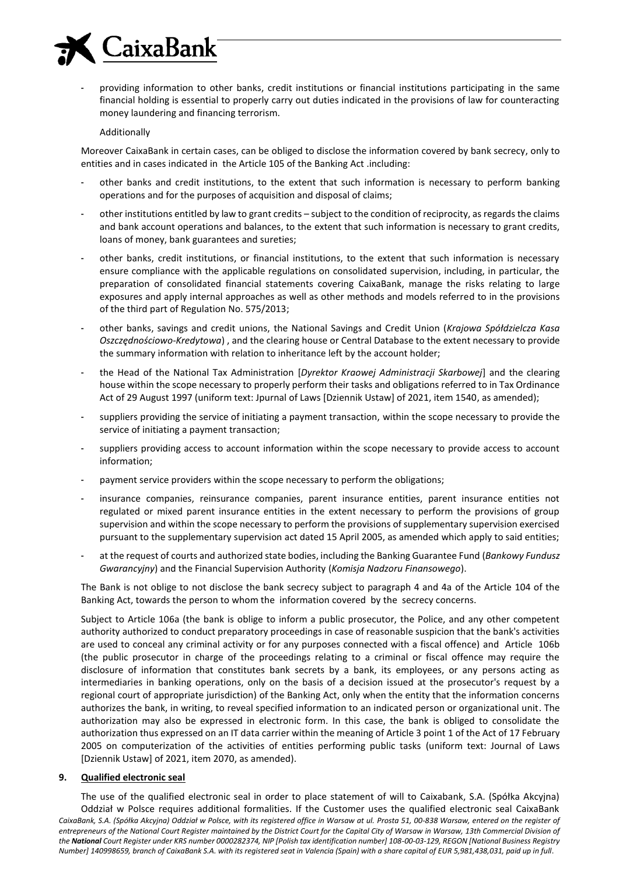

- providing information to other banks, credit institutions or financial institutions participating in the same financial holding is essential to properly carry out duties indicated in the provisions of law for counteracting money laundering and financing terrorism.

#### Additionally

Moreover CaixaBank in certain cases, can be obliged to disclose the information covered by bank secrecy, only to entities and in cases indicated in the Article 105 of the Banking Act .including:

- other banks and credit institutions, to the extent that such information is necessary to perform banking operations and for the purposes of acquisition and disposal of claims;
- other institutions entitled by law to grant credits subject to the condition of reciprocity, as regards the claims and bank account operations and balances, to the extent that such information is necessary to grant credits, loans of money, bank guarantees and sureties;
- other banks, credit institutions, or financial institutions, to the extent that such information is necessary ensure compliance with the applicable regulations on consolidated supervision, including, in particular, the preparation of consolidated financial statements covering CaixaBank, manage the risks relating to large exposures and apply internal approaches as well as other methods and models referred to in the provisions of the third part of Regulation No. 575/2013;
- other banks, savings and credit unions, the National Savings and Credit Union (*Krajowa Spółdzielcza Kasa Oszczędnościowo-Kredytowa*) , and the clearing house or Central Database to the extent necessary to provide the summary information with relation to inheritance left by the account holder;
- the Head of the National Tax Administration [*Dyrektor Kraowej Administracji Skarbowej*] and the clearing house within the scope necessary to properly perform their tasks and obligations referred to in Tax Ordinance Act of 29 August 1997 (uniform text: Jpurnal of Laws [Dziennik Ustaw] of 2021, item 1540, as amended);
- suppliers providing the service of initiating a payment transaction, within the scope necessary to provide the service of initiating a payment transaction;
- suppliers providing access to account information within the scope necessary to provide access to account information;
- payment service providers within the scope necessary to perform the obligations;
- insurance companies, reinsurance companies, parent insurance entities, parent insurance entities not regulated or mixed parent insurance entities in the extent necessary to perform the provisions of group supervision and within the scope necessary to perform the provisions of supplementary supervision exercised pursuant to the supplementary supervision act dated 15 April 2005, as amended which apply to said entities;
- at the request of courts and authorized state bodies, including the Banking Guarantee Fund (*Bankowy Fundusz Gwarancyjny*) and the Financial Supervision Authority (*Komisja Nadzoru Finansowego*).

The Bank is not oblige to not disclose the bank secrecy subject to paragraph 4 and 4a of the Article 104 of the Banking Act, towards the person to whom the information covered by the secrecy concerns.

Subject to Article 106a (the bank is oblige to inform a public prosecutor, the Police, and any other competent authority authorized to conduct preparatory proceedings in case of reasonable suspicion that the bank's activities are used to conceal any criminal activity or for any purposes connected with a fiscal offence) and Article 106b (the public prosecutor in charge of the proceedings relating to a criminal or fiscal offence may require the disclosure of information that constitutes bank secrets by a bank, its employees, or any persons acting as intermediaries in banking operations, only on the basis of a decision issued at the prosecutor's request by a regional court of appropriate jurisdiction) of the Banking Act, only when the entity that the information concerns authorizes the bank, in writing, to reveal specified information to an indicated person or organizational unit. The authorization may also be expressed in electronic form. In this case, the bank is obliged to consolidate the authorization thus expressed on an IT data carrier within the meaning of Article 3 point 1 of the Act of 17 February 2005 on computerization of the activities of entities performing public tasks (uniform text: Journal of Laws [Dziennik Ustaw] of 2021, item 2070, as amended).

#### **9. Qualified electronic seal**

CaixaBank, S.A. (Spółka Akcyjna) Oddział w Polsce, with its registered office in Warsaw at ul. Prosta 51, 00-838 Warsaw, entered on the register of *entrepreneurs of the National Court Register maintained by the District Court for the Capital City of Warsaw in Warsaw, 13th Commercial Division of the National Court Register under KRS number 0000282374, NIP [Polish tax identification number] 108-00-03-129, REGON [National Business Registry Number] 140998659, branch of CaixaBank S.A. with its registered seat in Valencia (Spain) with a share capital of EUR 5,981,438,031, paid up in full*. The use of the qualified electronic seal in order to place statement of will to Caixabank, S.A. (Spółka Akcyjna) Oddział w Polsce requires additional formalities. If the Customer uses the qualified electronic seal CaixaBank